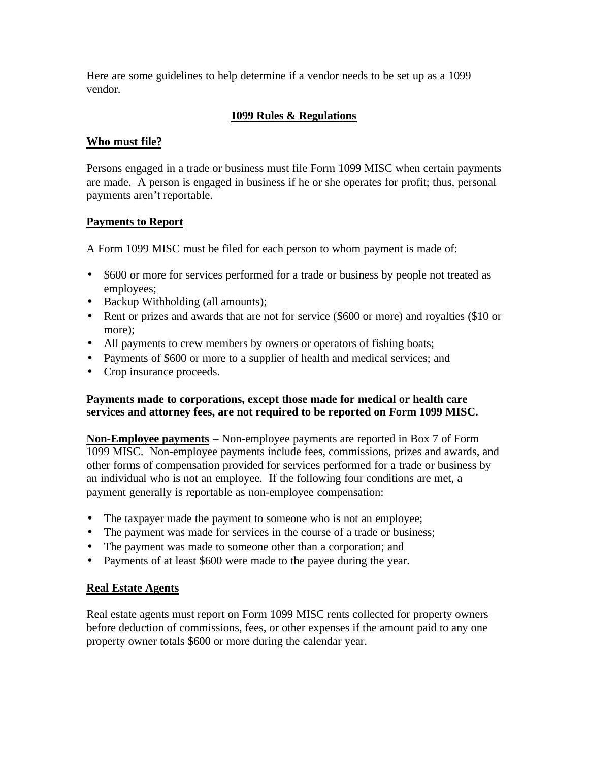Here are some guidelines to help determine if a vendor needs to be set up as a 1099 vendor.

# **1099 Rules & Regulations**

# **Who must file?**

Persons engaged in a trade or business must file Form 1099 MISC when certain payments are made. A person is engaged in business if he or she operates for profit; thus, personal payments aren't reportable.

# **Payments to Report**

A Form 1099 MISC must be filed for each person to whom payment is made of:

- \$600 or more for services performed for a trade or business by people not treated as employees;
- Backup Withholding (all amounts);
- Rent or prizes and awards that are not for service (\$600 or more) and royalties (\$10 or more):
- All payments to crew members by owners or operators of fishing boats;
- Payments of \$600 or more to a supplier of health and medical services; and
- Crop insurance proceeds.

# **Payments made to corporations, except those made for medical or health care services and attorney fees, are not required to be reported on Form 1099 MISC.**

**Non-Employee payments** – Non-employee payments are reported in Box 7 of Form 1099 MISC. Non-employee payments include fees, commissions, prizes and awards, and other forms of compensation provided for services performed for a trade or business by an individual who is not an employee. If the following four conditions are met, a payment generally is reportable as non-employee compensation:

- The taxpayer made the payment to someone who is not an employee;
- The payment was made for services in the course of a trade or business;
- The payment was made to someone other than a corporation; and
- Payments of at least \$600 were made to the payee during the year.

# **Real Estate Agents**

Real estate agents must report on Form 1099 MISC rents collected for property owners before deduction of commissions, fees, or other expenses if the amount paid to any one property owner totals \$600 or more during the calendar year.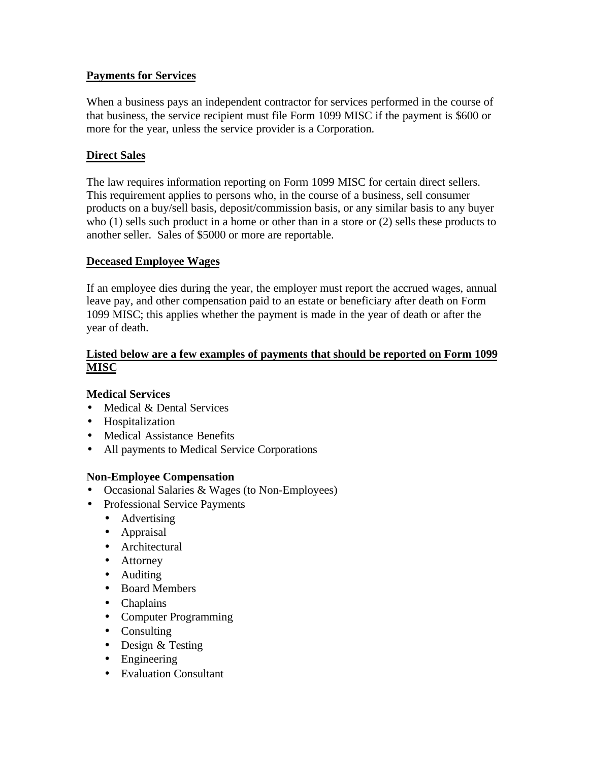# **Payments for Services**

When a business pays an independent contractor for services performed in the course of that business, the service recipient must file Form 1099 MISC if the payment is \$600 or more for the year, unless the service provider is a Corporation.

# **Direct Sales**

The law requires information reporting on Form 1099 MISC for certain direct sellers. This requirement applies to persons who, in the course of a business, sell consumer products on a buy/sell basis, deposit/commission basis, or any similar basis to any buyer who (1) sells such product in a home or other than in a store or (2) sells these products to another seller. Sales of \$5000 or more are reportable.

# **Deceased Employee Wages**

If an employee dies during the year, the employer must report the accrued wages, annual leave pay, and other compensation paid to an estate or beneficiary after death on Form 1099 MISC; this applies whether the payment is made in the year of death or after the year of death.

### **Listed below are a few examples of payments that should be reported on Form 1099 MISC**

# **Medical Services**

- Medical & Dental Services
- Hospitalization
- Medical Assistance Benefits
- All payments to Medical Service Corporations

# **Non-Employee Compensation**

- Occasional Salaries & Wages (to Non-Employees)
- Professional Service Payments
	- Advertising
	- Appraisal
	- Architectural
	- Attorney
	- Auditing
	- Board Members
	- Chaplains
	- Computer Programming
	- Consulting
	- Design & Testing
	- Engineering
	- Evaluation Consultant